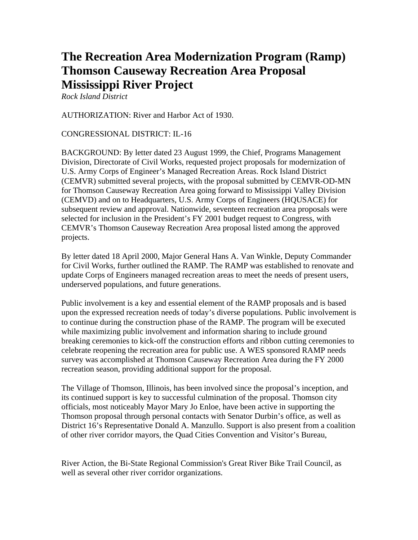## **The Recreation Area Modernization Program (Ramp) Thomson Causeway Recreation Area Proposal Mississippi River Project**

*Rock Island District* 

AUTHORIZATION: River and Harbor Act of 1930.

## CONGRESSIONAL DISTRICT: IL-16

BACKGROUND: By letter dated 23 August 1999, the Chief, Programs Management Division, Directorate of Civil Works, requested project proposals for modernization of U.S. Army Corps of Engineer's Managed Recreation Areas. Rock Island District (CEMVR) submitted several projects, with the proposal submitted by CEMVR-OD-MN for Thomson Causeway Recreation Area going forward to Mississippi Valley Division (CEMVD) and on to Headquarters, U.S. Army Corps of Engineers (HQUSACE) for subsequent review and approval. Nationwide, seventeen recreation area proposals were selected for inclusion in the President's FY 2001 budget request to Congress, with CEMVR's Thomson Causeway Recreation Area proposal listed among the approved projects.

By letter dated 18 April 2000, Major General Hans A. Van Winkle, Deputy Commander for Civil Works, further outlined the RAMP. The RAMP was established to renovate and update Corps of Engineers managed recreation areas to meet the needs of present users, underserved populations, and future generations.

Public involvement is a key and essential element of the RAMP proposals and is based upon the expressed recreation needs of today's diverse populations. Public involvement is to continue during the construction phase of the RAMP. The program will be executed while maximizing public involvement and information sharing to include ground breaking ceremonies to kick-off the construction efforts and ribbon cutting ceremonies to celebrate reopening the recreation area for public use. A WES sponsored RAMP needs survey was accomplished at Thomson Causeway Recreation Area during the FY 2000 recreation season, providing additional support for the proposal.

The Village of Thomson, Illinois, has been involved since the proposal's inception, and its continued support is key to successful culmination of the proposal. Thomson city officials, most noticeably Mayor Mary Jo Enloe, have been active in supporting the Thomson proposal through personal contacts with Senator Durbin's office, as well as District 16's Representative Donald A. Manzullo. Support is also present from a coalition of other river corridor mayors, the Quad Cities Convention and Visitor's Bureau,

River Action, the Bi-State Regional Commission's Great River Bike Trail Council, as well as several other river corridor organizations.